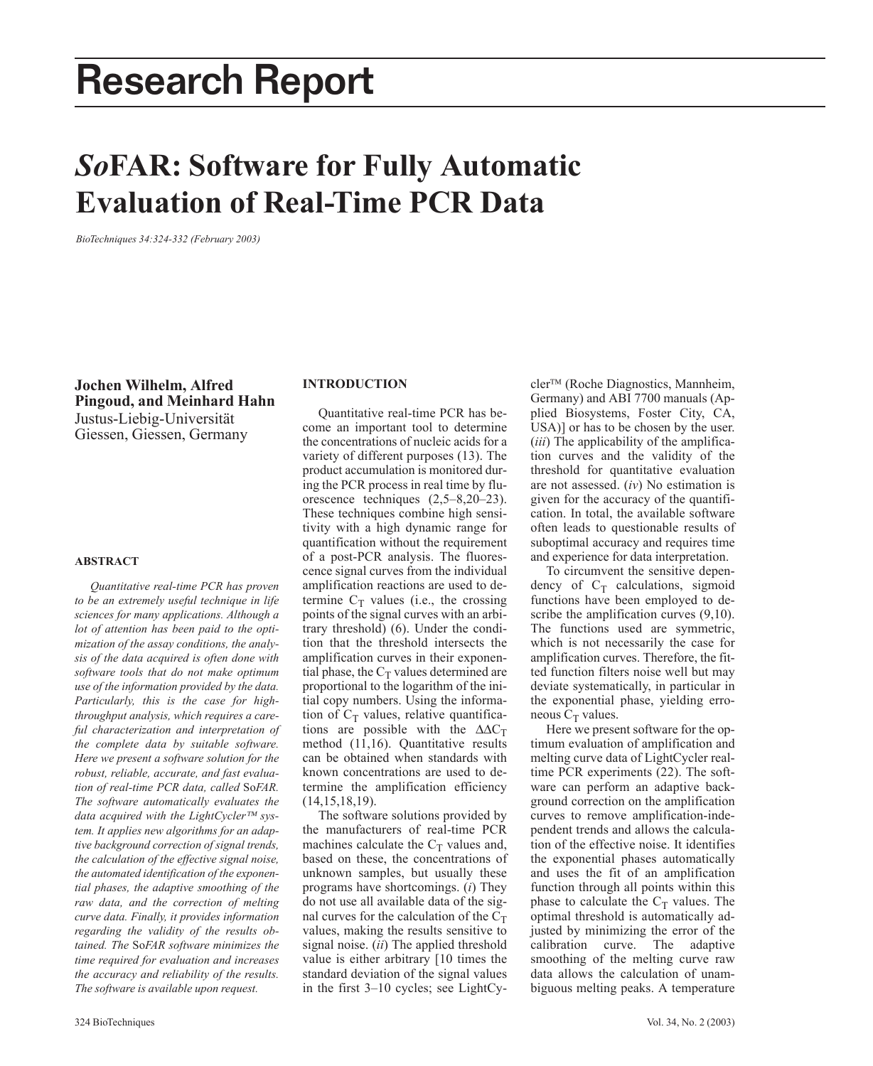# Research Report

# *So***FAR: Software for Fully Automatic Evaluation of Real-Time PCR Data**

*BioTechniques 34:324-332 (February 2003)*

**Jochen Wilhelm, Alfred Pingoud, and Meinhard Hahn** Justus-Liebig-Universität Giessen, Giessen, Germany

# **ABSTRACT**

*Quantitative real-time PCR has proven to be an extremely useful technique in life sciences for many applications. Although a lot of attention has been paid to the optimization of the assay conditions, the analysis of the data acquired is often done with software tools that do not make optimum use of the information provided by the data. Particularly, this is the case for highthroughput analysis, which requires a careful characterization and interpretation of the complete data by suitable software. Here we present a software solution for the robust, reliable, accurate, and fast evaluation of real-time PCR data, called* So*FAR. The software automatically evaluates the data acquired with the LightCycler system. It applies new algorithms for an adaptive background correction of signal trends, the calculation of the effective signal noise, the automated identification of the exponential phases, the adaptive smoothing of the raw data, and the correction of melting curve data. Finally, it provides information regarding the validity of the results obtained. The* So*FAR software minimizes the time required for evaluation and increases the accuracy and reliability of the results. The software is available upon request.*

# **INTRODUCTION**

Quantitative real-time PCR has become an important tool to determine the concentrations of nucleic acids for a variety of different purposes (13). The product accumulation is monitored during the PCR process in real time by fluorescence techniques (2,5–8,20–23). These techniques combine high sensitivity with a high dynamic range for quantification without the requirement of a post-PCR analysis. The fluorescence signal curves from the individual amplification reactions are used to determine  $C_T$  values (i.e., the crossing points of the signal curves with an arbitrary threshold) (6). Under the condition that the threshold intersects the amplification curves in their exponential phase, the  $C_T$  values determined are proportional to the logarithm of the initial copy numbers. Using the information of  $C_T$  values, relative quantifications are possible with the  $\Delta \Delta C_T$ method (11,16). Quantitative results can be obtained when standards with known concentrations are used to determine the amplification efficiency (14,15,18,19).

The software solutions provided by the manufacturers of real-time PCR machines calculate the  $C_T$  values and, based on these, the concentrations of unknown samples, but usually these programs have shortcomings. (*i*) They do not use all available data of the signal curves for the calculation of the  $C_T$ values, making the results sensitive to signal noise. (*ii*) The applied threshold value is either arbitrary [10 times the standard deviation of the signal values in the first 3–10 cycles; see LightCycler<sup>™</sup> (Roche Diagnostics, Mannheim, Germany) and ABI 7700 manuals (Applied Biosystems, Foster City, CA, USA)] or has to be chosen by the user. (*iii*) The applicability of the amplification curves and the validity of the threshold for quantitative evaluation are not assessed. (*iv*) No estimation is given for the accuracy of the quantification. In total, the available software often leads to questionable results of suboptimal accuracy and requires time and experience for data interpretation.

To circumvent the sensitive dependency of  $C_T$  calculations, sigmoid functions have been employed to describe the amplification curves  $(9,10)$ . The functions used are symmetric, which is not necessarily the case for amplification curves. Therefore, the fitted function filters noise well but may deviate systematically, in particular in the exponential phase, yielding erroneous  $C_T$  values.

Here we present software for the optimum evaluation of amplification and melting curve data of LightCycler realtime PCR experiments (22). The software can perform an adaptive background correction on the amplification curves to remove amplification-independent trends and allows the calculation of the effective noise. It identifies the exponential phases automatically and uses the fit of an amplification function through all points within this phase to calculate the  $C_T$  values. The optimal threshold is automatically adjusted by minimizing the error of the calibration curve. The adaptive smoothing of the melting curve raw data allows the calculation of unambiguous melting peaks. A temperature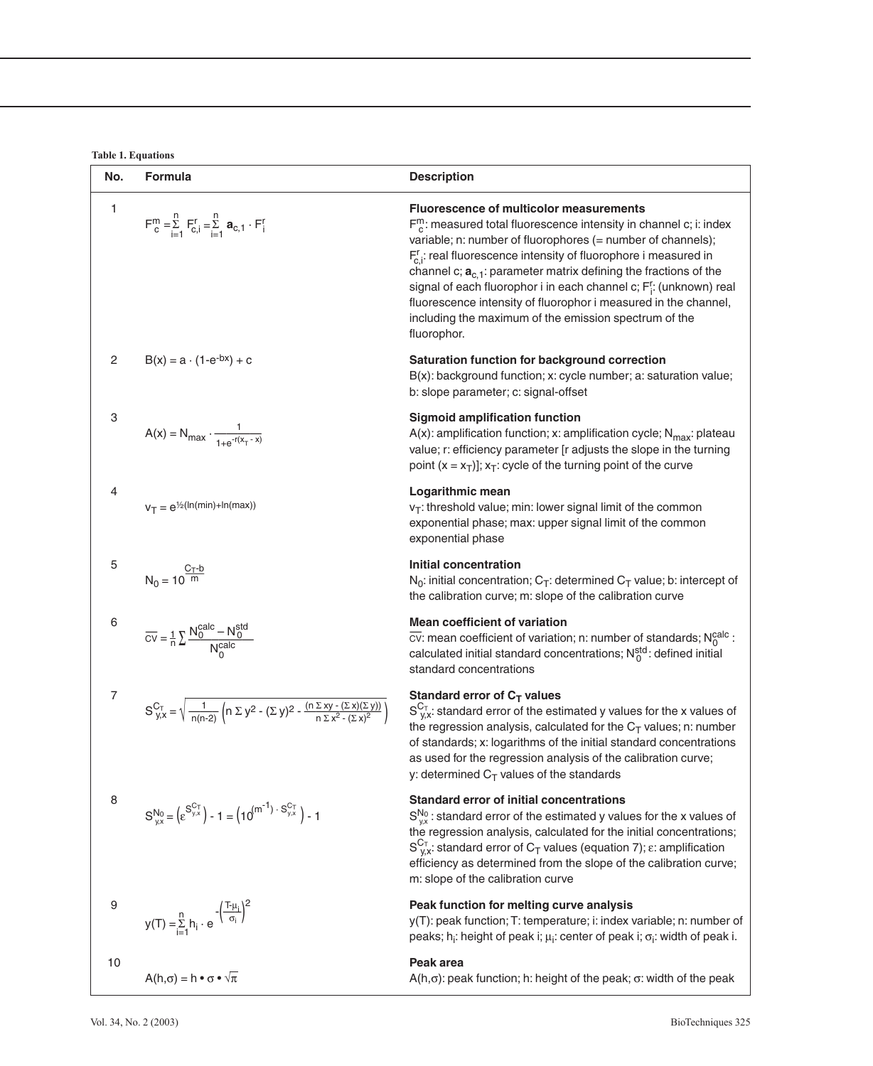**Table 1. Equations**

| No.          | <b>Formula</b>                                                                                                                                  | <b>Description</b>                                                                                                                                                                                                                                                                                                                                                                                                                                                                                                                                         |
|--------------|-------------------------------------------------------------------------------------------------------------------------------------------------|------------------------------------------------------------------------------------------------------------------------------------------------------------------------------------------------------------------------------------------------------------------------------------------------------------------------------------------------------------------------------------------------------------------------------------------------------------------------------------------------------------------------------------------------------------|
| 1            | $F_{c}^{m} = \sum_{i=1}^{n} F_{c,i}^{r} = \sum_{i=1}^{n} a_{c,1} \cdot F_{i}^{r}$                                                               | <b>Fluorescence of multicolor measurements</b><br>$F_c^m$ : measured total fluorescence intensity in channel c; i: index<br>variable; n: number of fluorophores (= number of channels);<br>$F_{c,i}^r$ : real fluorescence intensity of fluorophore i measured in<br>channel c; $a_{c,1}$ : parameter matrix defining the fractions of the<br>signal of each fluorophor i in each channel c; F[: (unknown) real<br>fluorescence intensity of fluorophor i measured in the channel,<br>including the maximum of the emission spectrum of the<br>fluorophor. |
| $\mathbf{2}$ | $B(x) = a \cdot (1-e^{-bx}) + c$                                                                                                                | Saturation function for background correction<br>B(x): background function; x: cycle number; a: saturation value;<br>b: slope parameter; c: signal-offset                                                                                                                                                                                                                                                                                                                                                                                                  |
| 3            | $A(x) = N_{\text{max}} \cdot \frac{1}{1 + e^{-r(x - x)}}$                                                                                       | <b>Sigmoid amplification function</b><br>$A(x)$ : amplification function; x: amplification cycle; N <sub>max</sub> : plateau<br>value; r: efficiency parameter [r adjusts the slope in the turning<br>point $(x = x_T)$ ]; $x_T$ : cycle of the turning point of the curve                                                                                                                                                                                                                                                                                 |
| 4            | $v_T = e^{1/2}$ (ln(min)+ln(max))                                                                                                               | Logarithmic mean<br>$v_T$ : threshold value; min: lower signal limit of the common<br>exponential phase; max: upper signal limit of the common<br>exponential phase                                                                                                                                                                                                                                                                                                                                                                                        |
| 5            | $N_0 = 10^{\frac{C_T-b}{m}}$                                                                                                                    | <b>Initial concentration</b><br>$N_0$ : initial concentration; C <sub>T</sub> : determined C <sub>T</sub> value; b: intercept of<br>the calibration curve; m: slope of the calibration curve                                                                                                                                                                                                                                                                                                                                                               |
| 6            | $\overline{CV} = \frac{1}{n} \sum \frac{N_0^{calc} - N_0^{std}}{N_0^{calc}}$                                                                    | <b>Mean coefficient of variation</b><br>$\overline{cv}$ : mean coefficient of variation; n: number of standards; Noalc:<br>calculated initial standard concentrations; $N_0^{std}$ : defined initial<br>standard concentrations                                                                                                                                                                                                                                                                                                                            |
| 7            | $S_{y,x}^{C_T} = \sqrt{\frac{1}{n(n-2)} \left(n \sum y^2 - (\sum y)^2 - \frac{(n \sum xy - (\sum x)(\sum y))}{n \sum x^2 - (\sum x)^2}\right)}$ | Standard error of $C_T$ values<br>$S_{v,x}^{C_T}$ : standard error of the estimated y values for the x values of<br>the regression analysis, calculated for the $C_T$ values; n: number<br>of standards: x: logarithms of the initial standard concentrations<br>as used for the regression analysis of the calibration curve;<br>y: determined $C_T$ values of the standards                                                                                                                                                                              |
| 8            | $S_{yx}^{N_0} = (g^{S_{y,x}^{C_T}}) - 1 = (10^{(m^{-1}) \cdot S_{y,x}^{C_T}}) - 1$                                                              | <b>Standard error of initial concentrations</b><br>$S_{vx}^{No}$ : standard error of the estimated y values for the x values of<br>the regression analysis, calculated for the initial concentrations;<br>$S_{v.x}^{C_T}$ : standard error of $C_T$ values (equation 7); $\varepsilon$ : amplification<br>efficiency as determined from the slope of the calibration curve;<br>m: slope of the calibration curve                                                                                                                                           |
| 9            | $y(T) = \sum_{i=1}^{n} h_i \cdot e^{-\left(\frac{T - \mu_i}{\sigma_i}\right)^2}$                                                                | Peak function for melting curve analysis<br>y(T): peak function; T: temperature; i: index variable; n: number of<br>peaks; h <sub>i</sub> : height of peak i; $\mu_i$ : center of peak i; $\sigma_i$ : width of peak i.                                                                                                                                                                                                                                                                                                                                    |
| 10           | $A(h,\sigma) = h \cdot \sigma \cdot \sqrt{\pi}$                                                                                                 | Peak area<br>$A(h,\sigma)$ : peak function; h: height of the peak; $\sigma$ : width of the peak                                                                                                                                                                                                                                                                                                                                                                                                                                                            |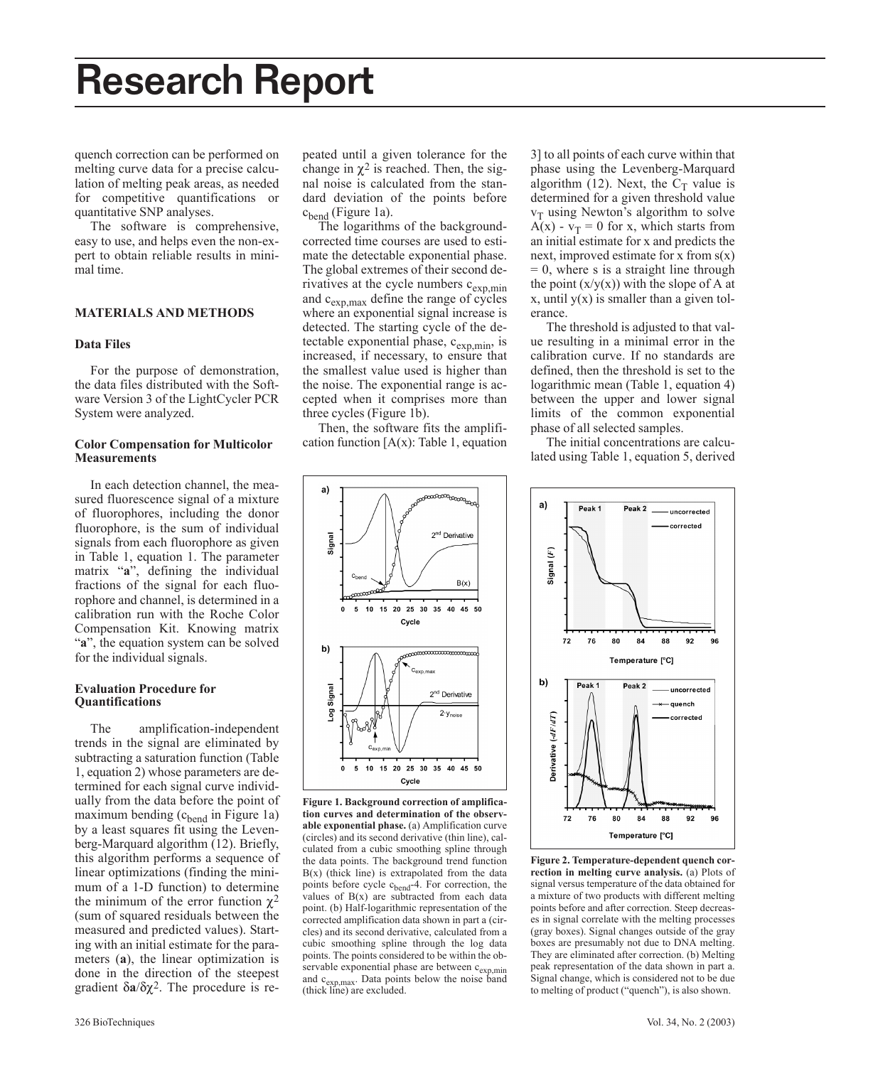# Research Report

quench correction can be performed on melting curve data for a precise calculation of melting peak areas, as needed for competitive quantifications or quantitative SNP analyses.

The software is comprehensive, easy to use, and helps even the non-expert to obtain reliable results in minimal time.

### **MATERIALS AND METHODS**

# **Data Files**

For the purpose of demonstration, the data files distributed with the Software Version 3 of the LightCycler PCR System were analyzed.

# **Color Compensation for Multicolor Measurements**

In each detection channel, the measured fluorescence signal of a mixture of fluorophores, including the donor fluorophore, is the sum of individual signals from each fluorophore as given in Table 1, equation 1. The parameter matrix "**a**", defining the individual fractions of the signal for each fluorophore and channel, is determined in a calibration run with the Roche Color Compensation Kit. Knowing matrix "**a**", the equation system can be solved for the individual signals.

# **Evaluation Procedure for Quantifications**

The amplification-independent trends in the signal are eliminated by subtracting a saturation function (Table 1, equation 2) whose parameters are determined for each signal curve individually from the data before the point of maximum bending  $(c<sub>bend</sub>$  in Figure 1a) by a least squares fit using the Levenberg-Marquard algorithm (12). Briefly, this algorithm performs a sequence of linear optimizations (finding the minimum of a 1-D function) to determine the minimum of the error function  $χ²$ (sum of squared residuals between the measured and predicted values). Starting with an initial estimate for the parameters (**a**), the linear optimization is done in the direction of the steepest gradient δ**a**/δχ2. The procedure is re-

peated until a given tolerance for the change in  $\chi^2$  is reached. Then, the signal noise is calculated from the standard deviation of the points before  $c<sub>bend</sub>$  (Figure 1a).

The logarithms of the backgroundcorrected time courses are used to estimate the detectable exponential phase. The global extremes of their second derivatives at the cycle numbers  $c_{exp,min}$ and  $c_{\exp,\max}$  define the range of cycles where an exponential signal increase is detected. The starting cycle of the detectable exponential phase,  $c_{exp,min}$ , is increased, if necessary, to ensure that the smallest value used is higher than the noise. The exponential range is accepted when it comprises more than three cycles (Figure 1b).

Then, the software fits the amplification function  $[A(x)]$ : Table 1, equation

3] to all points of each curve within that phase using the Levenberg-Marquard algorithm (12). Next, the  $C_T$  value is determined for a given threshold value  $v_T$  using Newton's algorithm to solve  $A(x) - v_T = 0$  for x, which starts from an initial estimate for x and predicts the next, improved estimate for x from  $s(x)$  $= 0$ , where s is a straight line through the point  $(x/y(x))$  with the slope of A at x, until  $y(x)$  is smaller than a given tolerance.

The threshold is adjusted to that value resulting in a minimal error in the calibration curve. If no standards are defined, then the threshold is set to the logarithmic mean (Table 1, equation 4) between the upper and lower signal limits of the common exponential phase of all selected samples.

The initial concentrations are calculated using Table 1, equation 5, derived



**Figure 1. Background correction of amplification curves and determination of the observable exponential phase.** (a) Amplification curve (circles) and its second derivative (thin line), calculated from a cubic smoothing spline through the data points. The background trend function  $B(x)$  (thick line) is extrapolated from the data points before cycle c<sub>bend</sub>-4. For correction, the values of  $B(x)$  are subtracted from each data point. (b) Half-logarithmic representation of the corrected amplification data shown in part a (circles) and its second derivative, calculated from a cubic smoothing spline through the log data points. The points considered to be within the observable exponential phase are between c<sub>exp,min</sub> and c<sub>exp,max</sub>. Data points below the noise band (thick line) are excluded.



**Figure 2. Temperature-dependent quench correction in melting curve analysis.** (a) Plots of signal versus temperature of the data obtained for a mixture of two products with different melting points before and after correction. Steep decreases in signal correlate with the melting processes (gray boxes). Signal changes outside of the gray boxes are presumably not due to DNA melting. They are eliminated after correction. (b) Melting peak representation of the data shown in part a. Signal change, which is considered not to be due to melting of product ("quench"), is also shown.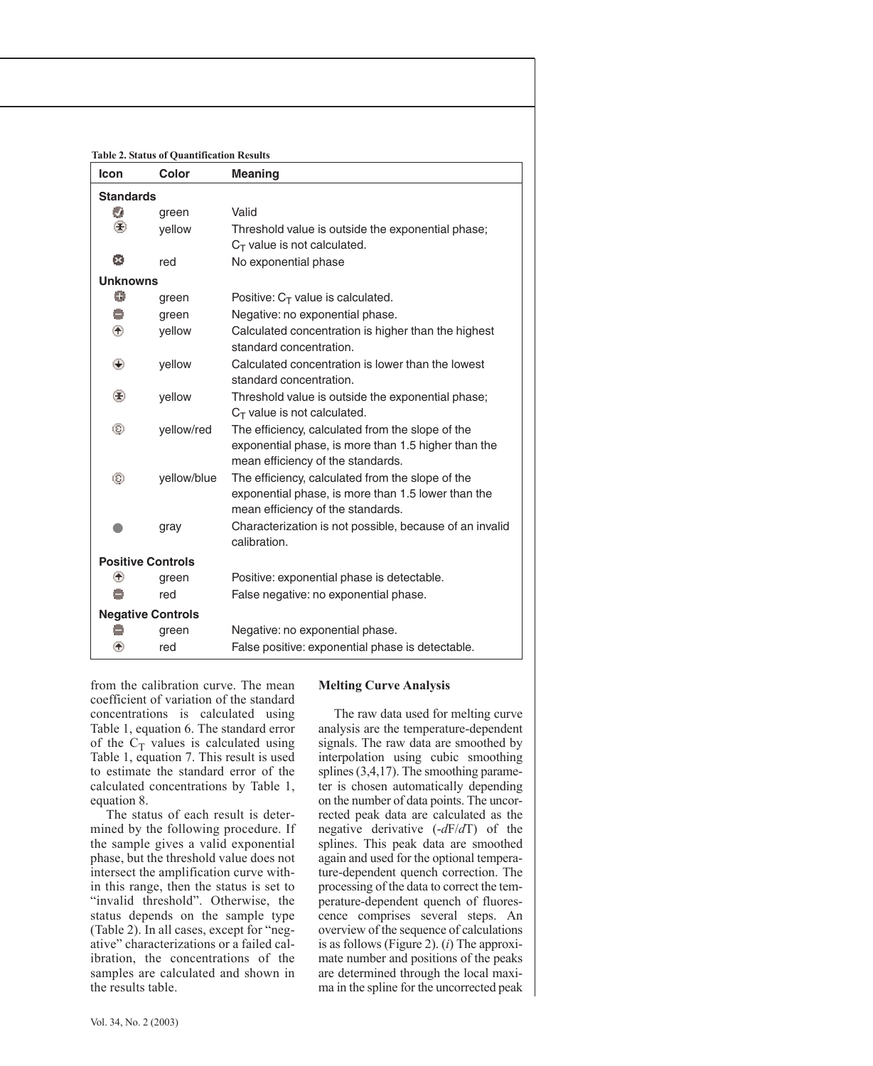**Table 2. Status of Quantification Results**

| Icon                     | Color       | <b>Meaning</b>                                          |  |
|--------------------------|-------------|---------------------------------------------------------|--|
| <b>Standards</b>         |             |                                                         |  |
| o                        | green       | Valid                                                   |  |
| ⊛                        | vellow      | Threshold value is outside the exponential phase;       |  |
|                          |             | $C_T$ value is not calculated.                          |  |
| ø                        | red         | No exponential phase                                    |  |
| <b>Unknowns</b>          |             |                                                         |  |
| Θ                        | green       | Positive: $C_T$ value is calculated.                    |  |
| e                        | green       | Negative: no exponential phase.                         |  |
| ⊛                        | yellow      | Calculated concentration is higher than the highest     |  |
|                          |             | standard concentration.                                 |  |
| ⊙                        | yellow      | Calculated concentration is lower than the lowest       |  |
|                          |             | standard concentration.                                 |  |
| ⊛                        | yellow      | Threshold value is outside the exponential phase;       |  |
|                          |             | $C_T$ value is not calculated.                          |  |
| ☺                        | yellow/red  | The efficiency, calculated from the slope of the        |  |
|                          |             | exponential phase, is more than 1.5 higher than the     |  |
|                          |             | mean efficiency of the standards.                       |  |
| ☺                        | yellow/blue | The efficiency, calculated from the slope of the        |  |
|                          |             | exponential phase, is more than 1.5 lower than the      |  |
|                          |             | mean efficiency of the standards.                       |  |
|                          | gray        | Characterization is not possible, because of an invalid |  |
|                          |             | calibration.                                            |  |
| <b>Positive Controls</b> |             |                                                         |  |
| ⊛                        | green       | Positive: exponential phase is detectable.              |  |
|                          | red         | False negative: no exponential phase.                   |  |
| <b>Negative Controls</b> |             |                                                         |  |
|                          | green       | Negative: no exponential phase.                         |  |
| ⊛                        | red         | False positive: exponential phase is detectable.        |  |

from the calibration curve. The mean coefficient of variation of the standard concentrations is calculated using Table 1, equation 6. The standard error of the  $C_T$  values is calculated using Table 1, equation 7. This result is used to estimate the standard error of the calculated concentrations by Table 1, equation 8.

The status of each result is determined by the following procedure. If the sample gives a valid exponential phase, but the threshold value does not intersect the amplification curve within this range, then the status is set to "invalid threshold". Otherwise, the status depends on the sample type (Table 2). In all cases, except for "negative" characterizations or a failed calibration, the concentrations of the samples are calculated and shown in the results table.

# **Melting Curve Analysis**

The raw data used for melting curve analysis are the temperature-dependent signals. The raw data are smoothed by interpolation using cubic smoothing splines (3,4,17). The smoothing parameter is chosen automatically depending on the number of data points. The uncorrected peak data are calculated as the negative derivative (-*d*F/*d*T) of the splines. This peak data are smoothed again and used for the optional temperature-dependent quench correction. The processing of the data to correct the temperature-dependent quench of fluorescence comprises several steps. An overview of the sequence of calculations is as follows (Figure 2). (*i*) The approximate number and positions of the peaks are determined through the local maxima in the spline for the uncorrected peak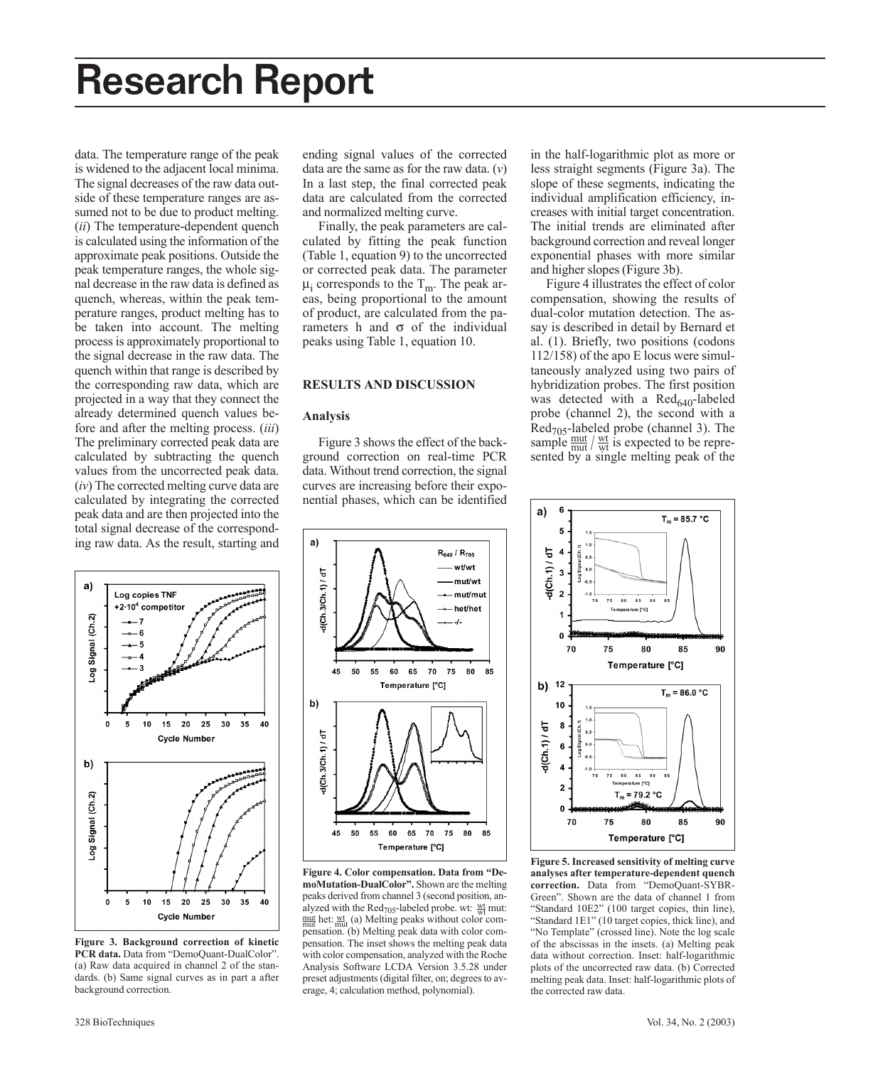data. The temperature range of the peak is widened to the adjacent local minima. The signal decreases of the raw data outside of these temperature ranges are assumed not to be due to product melting. (*ii*) The temperature-dependent quench is calculated using the information of the approximate peak positions. Outside the peak temperature ranges, the whole signal decrease in the raw data is defined as quench, whereas, within the peak temperature ranges, product melting has to be taken into account. The melting process is approximately proportional to the signal decrease in the raw data. The quench within that range is described by the corresponding raw data, which are projected in a way that they connect the already determined quench values before and after the melting process. (*iii*) The preliminary corrected peak data are calculated by subtracting the quench values from the uncorrected peak data. (*iv*) The corrected melting curve data are calculated by integrating the corrected peak data and are then projected into the total signal decrease of the corresponding raw data. As the result, starting and



**Figure 3. Background correction of kinetic PCR data.** Data from "DemoQuant-DualColor". (a) Raw data acquired in channel 2 of the standards. (b) Same signal curves as in part a after background correction.

ending signal values of the corrected data are the same as for the raw data. (*v*) In a last step, the final corrected peak data are calculated from the corrected and normalized melting curve.

Finally, the peak parameters are calculated by fitting the peak function (Table 1, equation 9) to the uncorrected or corrected peak data. The parameter  $\mu_i$  corresponds to the T<sub>m</sub>. The peak areas, being proportional to the amount of product, are calculated from the parameters h and  $\sigma$  of the individual peaks using Table 1, equation 10.

# **RESULTS AND DISCUSSION**

### **Analysis**

Figure 3 shows the effect of the background correction on real-time PCR data. Without trend correction, the signal curves are increasing before their exponential phases, which can be identified in the half-logarithmic plot as more or less straight segments (Figure 3a). The slope of these segments, indicating the individual amplification efficiency, increases with initial target concentration. The initial trends are eliminated after background correction and reveal longer exponential phases with more similar and higher slopes (Figure 3b).

Figure 4 illustrates the effect of color compensation, showing the results of dual-color mutation detection. The assay is described in detail by Bernard et al. (1). Briefly, two positions (codons 112/158) of the apo E locus were simultaneously analyzed using two pairs of hybridization probes. The first position was detected with a  $\text{Red}_{640}$ -labeled probe (channel 2), the second with a  $Red<sub>705</sub>$ -labeled probe (channel 3). The sample  $\frac{mut}{mut}$  /  $\frac{wt}{wt}$  is expected to be represented by a single melting peak of the



**Figure 4. Color compensation. Data from "DemoMutation-DualColor".** Shown are the melting peaks derived from channel 3 (second position, analyzed with the  $\text{Red}_{705}$ -labeled probe. wt:  $\frac{\text{wt}}{\text{wt}}$  mut:  $\frac{m}{m}$  het:  $\frac{wt}{m}$  (a) Melting peaks without color compensation. (b) Melting peak data with color compensation. The inset shows the melting peak data with color compensation, analyzed with the Roche Analysis Software LCDA Version 3.5.28 under preset adjustments (digital filter, on; degrees to average, 4; calculation method, polynomial).



**Figure 5. Increased sensitivity of melting curve analyses after temperature-dependent quench correction.** Data from "DemoQuant-SYBR-Green". Shown are the data of channel 1 from "Standard 10E2" (100 target copies, thin line), "Standard 1E1" (10 target copies, thick line), and "No Template" (crossed line). Note the log scale of the abscissas in the insets. (a) Melting peak data without correction. Inset: half-logarithmic plots of the uncorrected raw data. (b) Corrected melting peak data. Inset: half-logarithmic plots of the corrected raw data.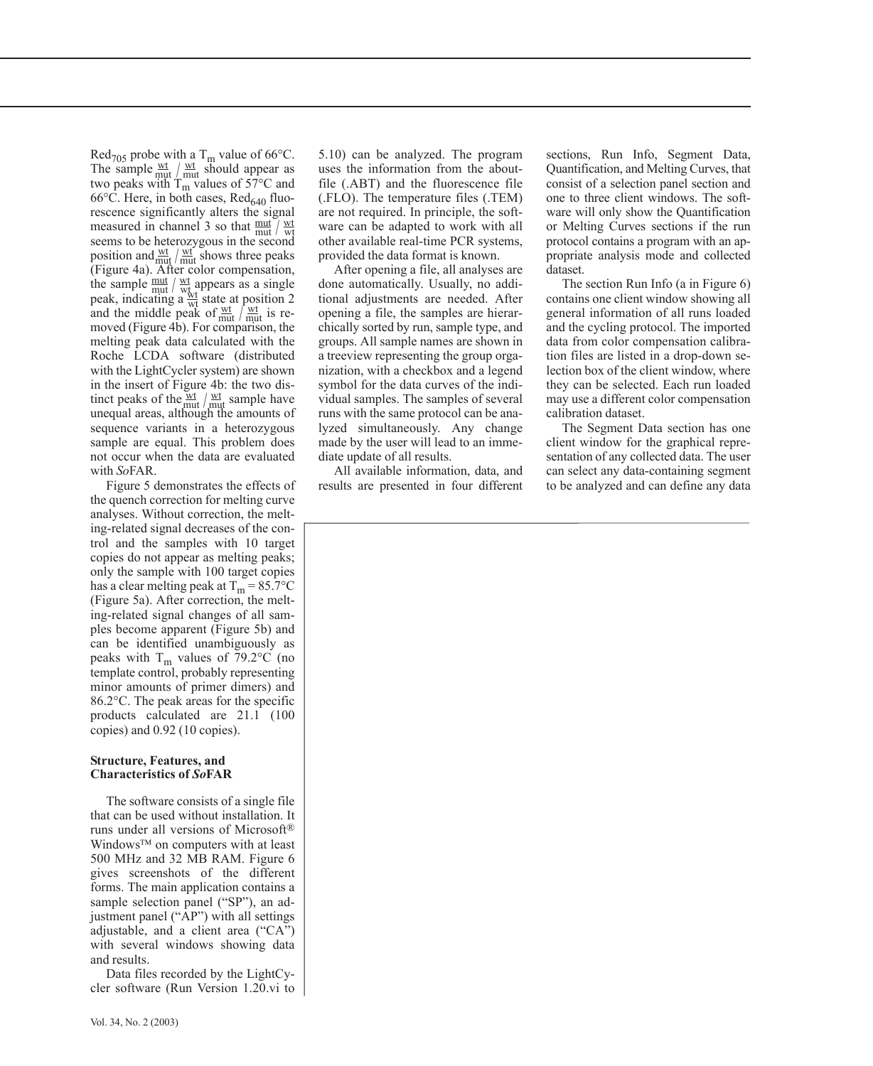Red<sub>705</sub> probe with a T<sub>m</sub> value of 66 $\degree$ C. The sample  $\frac{wt}{mut}$   $\frac{wt}{mut}$  should appear as two peaks with  $T_m$  values of 57 $\degree$ C and  $66^{\circ}$ C. Here, in both cases, Red<sub>640</sub> fluorescence significantly alters the signal measured in channel 3 so that  $\frac{mut}{mut}$  /  $\frac{wt}{wt}$ seems to be heterozygous in the second position and  $\frac{wt}{mut}/\frac{wt}{mut}$  shows three peaks (Figure 4a). After color compensation, the sample  $\frac{mut}{w}$  /  $\frac{wt}{wt}$  appears as a single peak, indicating a  $\frac{wt}{wt}$  state at position 2 and the middle peak of  $\frac{wt}{mut}/\frac{wt}{mut}$  is re-<br>moved (Figure 4b). For comparison, the melting peak data calculated with the Roche LCDA software (distributed with the LightCycler system) are shown in the insert of Figure 4b: the two distinct peaks of the  $\frac{wt}{mut}/\frac{wt}{mut}$  sample have unequal areas, although the amounts of sequence variants in a heterozygous sample are equal. This problem does not occur when the data are evaluated with *So*FAR.

Figure 5 demonstrates the effects of the quench correction for melting curve analyses. Without correction, the melting-related signal decreases of the control and the samples with 10 target copies do not appear as melting peaks; only the sample with 100 target copies has a clear melting peak at  $T_m = 85.7$ °C (Figure 5a). After correction, the melting-related signal changes of all samples become apparent (Figure 5b) and can be identified unambiguously as peaks with  $T_m$  values of 79.2°C (no template control, probably representing minor amounts of primer dimers) and 86.2°C. The peak areas for the specific products calculated are 21.1 (100 copies) and 0.92 (10 copies).

### **Structure, Features, and Characteristics of** *So***FAR**

The software consists of a single file that can be used without installation. It runs under all versions of Microsoft® Windows™ on computers with at least 500 MHz and 32 MB RAM. Figure 6 gives screenshots of the different forms. The main application contains a sample selection panel ("SP"), an adjustment panel ("AP") with all settings adjustable, and a client area ("CA") with several windows showing data and results.

Data files recorded by the LightCycler software (Run Version 1.20.vi to

5.10) can be analyzed. The program uses the information from the aboutfile (.ABT) and the fluorescence file (.FLO). The temperature files (.TEM) are not required. In principle, the software can be adapted to work with all other available real-time PCR systems, provided the data format is known.

After opening a file, all analyses are done automatically. Usually, no additional adjustments are needed. After opening a file, the samples are hierarchically sorted by run, sample type, and groups. All sample names are shown in a treeview representing the group organization, with a checkbox and a legend symbol for the data curves of the individual samples. The samples of several runs with the same protocol can be analyzed simultaneously. Any change made by the user will lead to an immediate update of all results.

All available information, data, and results are presented in four different sections, Run Info, Segment Data, Quantification, and Melting Curves, that consist of a selection panel section and one to three client windows. The software will only show the Quantification or Melting Curves sections if the run protocol contains a program with an appropriate analysis mode and collected dataset.

The section Run Info (a in Figure 6) contains one client window showing all general information of all runs loaded and the cycling protocol. The imported data from color compensation calibration files are listed in a drop-down selection box of the client window, where they can be selected. Each run loaded may use a different color compensation calibration dataset.

The Segment Data section has one client window for the graphical representation of any collected data. The user can select any data-containing segment to be analyzed and can define any data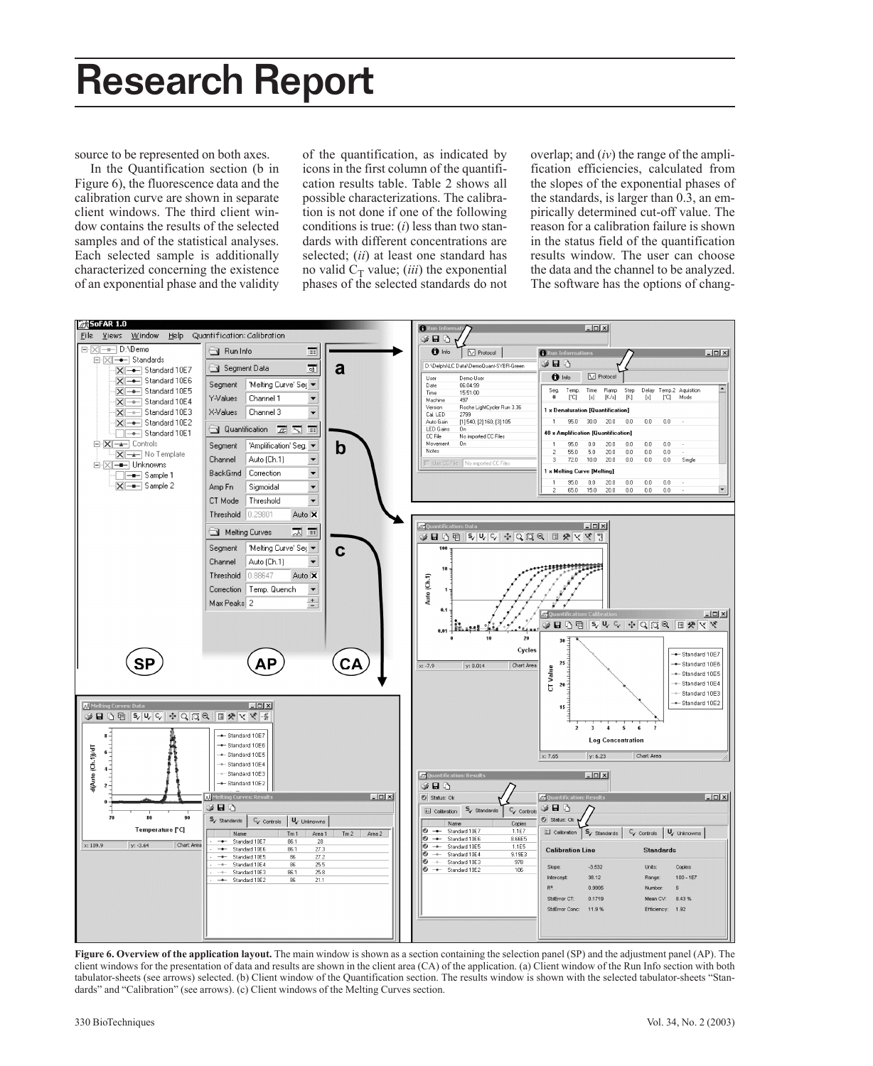source to be represented on both axes.

In the Quantification section (b in Figure 6), the fluorescence data and the calibration curve are shown in separate client windows. The third client window contains the results of the selected samples and of the statistical analyses. Each selected sample is additionally characterized concerning the existence of an exponential phase and the validity of the quantification, as indicated by icons in the first column of the quantification results table. Table 2 shows all possible characterizations. The calibration is not done if one of the following conditions is true: (*i*) less than two standards with different concentrations are selected; (*ii*) at least one standard has no valid  $C_T$  value; *(iii)* the exponential phases of the selected standards do not

overlap; and (*iv*) the range of the amplification efficiencies, calculated from the slopes of the exponential phases of the standards, is larger than 0.3, an empirically determined cut-off value. The reason for a calibration failure is shown in the status field of the quantification results window. The user can choose the data and the channel to be analyzed. The software has the options of chang-



**Figure 6. Overview of the application layout.** The main window is shown as a section containing the selection panel (SP) and the adjustment panel (AP). The client windows for the presentation of data and results are shown in the client area (CA) of the application. (a) Client window of the Run Info section with both tabulator-sheets (see arrows) selected. (b) Client window of the Quantification section. The results window is shown with the selected tabulator-sheets "Standards" and "Calibration" (see arrows). (c) Client windows of the Melting Curves section.